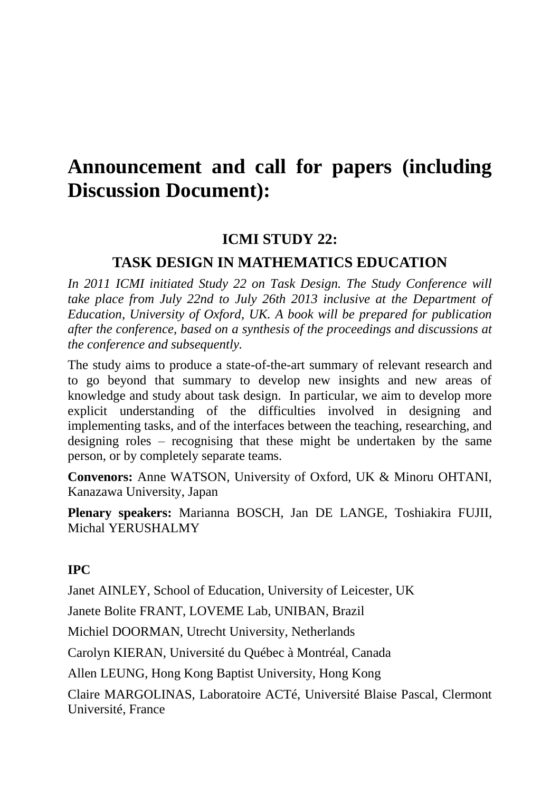# **Announcement and call for papers (including Discussion Document):**

## **ICMI STUDY 22:**

#### **TASK DESIGN IN MATHEMATICS EDUCATION**

*In 2011 ICMI initiated Study 22 on Task Design. The Study Conference will take place from July 22nd to July 26th 2013 inclusive at the Department of Education, University of Oxford, UK. A book will be prepared for publication after the conference, based on a synthesis of the proceedings and discussions at the conference and subsequently.* 

The study aims to produce a state-of-the-art summary of relevant research and to go beyond that summary to develop new insights and new areas of knowledge and study about task design. In particular, we aim to develop more explicit understanding of the difficulties involved in designing and implementing tasks, and of the interfaces between the teaching, researching, and designing roles – recognising that these might be undertaken by the same person, or by completely separate teams.

**Convenors:** Anne WATSON, University of Oxford, UK & Minoru OHTANI, Kanazawa University, Japan

**Plenary speakers:** Marianna BOSCH, Jan DE LANGE, Toshiakira FUJII, Michal YERUSHALMY

#### **IPC**

Janet AINLEY, School of Education, University of Leicester, UK

Janete Bolite FRANT, LOVEME Lab, UNIBAN, Brazil

Michiel DOORMAN, Utrecht University, Netherlands

Carolyn KIERAN, Université du Québec à Montréal, Canada

Allen LEUNG, Hong Kong Baptist University, Hong Kong

Claire MARGOLINAS, Laboratoire ACTé, Université Blaise Pascal, Clermont Université, France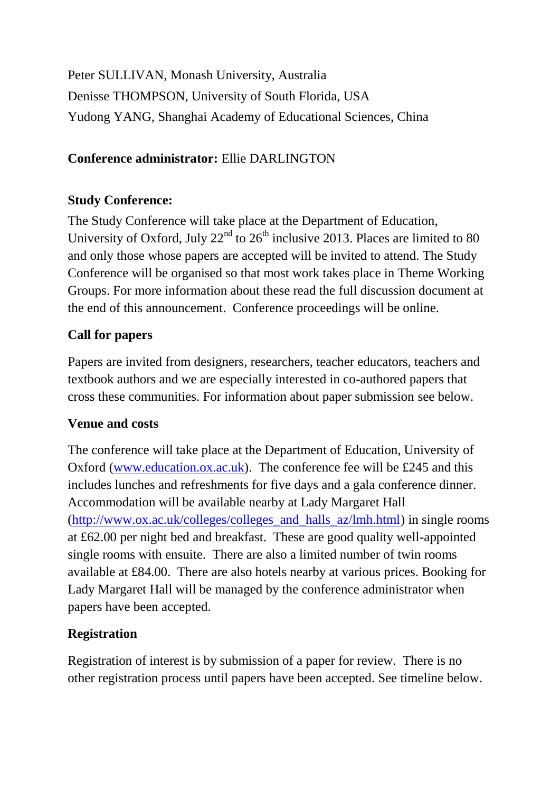Peter SULLIVAN, Monash University, Australia Denisse THOMPSON, University of South Florida, USA Yudong YANG, Shanghai Academy of Educational Sciences, China

## **Conference administrator:** Ellie DARLINGTON

## **Study Conference:**

The Study Conference will take place at the Department of Education, University of Oxford, July  $22<sup>nd</sup>$  to  $26<sup>th</sup>$  inclusive 2013. Places are limited to 80 and only those whose papers are accepted will be invited to attend. The Study Conference will be organised so that most work takes place in Theme Working Groups. For more information about these read the full discussion document at the end of this announcement. Conference proceedings will be online.

#### **Call for papers**

Papers are invited from designers, researchers, teacher educators, teachers and textbook authors and we are especially interested in co-authored papers that cross these communities. For information about paper submission see below.

#### **Venue and costs**

The conference will take place at the Department of Education, University of Oxford [\(www.education.ox.ac.uk\)](http://www.education.ox.ac.uk/). The conference fee will be £245 and this includes lunches and refreshments for five days and a gala conference dinner. Accommodation will be available nearby at Lady Margaret Hall [\(http://www.ox.ac.uk/colleges/colleges\\_and\\_halls\\_az/lmh.html\)](http://www.ox.ac.uk/colleges/colleges_and_halls_az/lmh.html) in single rooms at £62.00 per night bed and breakfast. These are good quality well-appointed single rooms with ensuite. There are also a limited number of twin rooms available at £84.00. There are also hotels nearby at various prices. Booking for Lady Margaret Hall will be managed by the conference administrator when papers have been accepted.

## **Registration**

Registration of interest is by submission of a paper for review. There is no other registration process until papers have been accepted. See timeline below.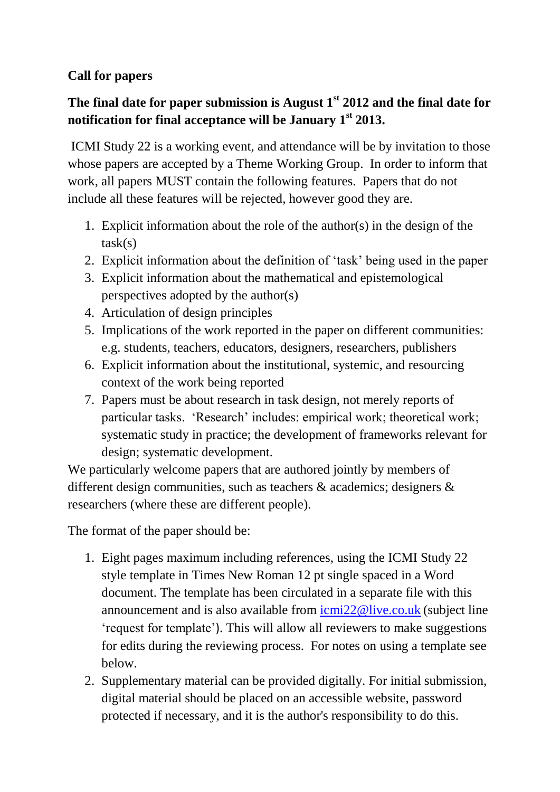## **Call for papers**

## **The final date for paper submission is August 1st 2012 and the final date for notification for final acceptance will be January 1st 2013.**

ICMI Study 22 is a working event, and attendance will be by invitation to those whose papers are accepted by a Theme Working Group. In order to inform that work, all papers MUST contain the following features. Papers that do not include all these features will be rejected, however good they are.

- 1. Explicit information about the role of the author(s) in the design of the  $task(s)$
- 2. Explicit information about the definition of 'task' being used in the paper
- 3. Explicit information about the mathematical and epistemological perspectives adopted by the author(s)
- 4. Articulation of design principles
- 5. Implications of the work reported in the paper on different communities: e.g. students, teachers, educators, designers, researchers, publishers
- 6. Explicit information about the institutional, systemic, and resourcing context of the work being reported
- 7. Papers must be about research in task design, not merely reports of particular tasks. 'Research' includes: empirical work; theoretical work; systematic study in practice; the development of frameworks relevant for design; systematic development.

We particularly welcome papers that are authored jointly by members of different design communities, such as teachers & academics; designers & researchers (where these are different people).

The format of the paper should be:

- 1. Eight pages maximum including references, using the ICMI Study 22 style template in Times New Roman 12 pt single spaced in a Word document. The template has been circulated in a separate file with this announcement and is also available from [icmi22@live.co.uk](mailto:icmi22@live.co.uk) (subject line 'request for template'). This will allow all reviewers to make suggestions for edits during the reviewing process. For notes on using a template see below.
- 2. Supplementary material can be provided digitally. For initial submission, digital material should be placed on an accessible website, password protected if necessary, and it is the author's responsibility to do this.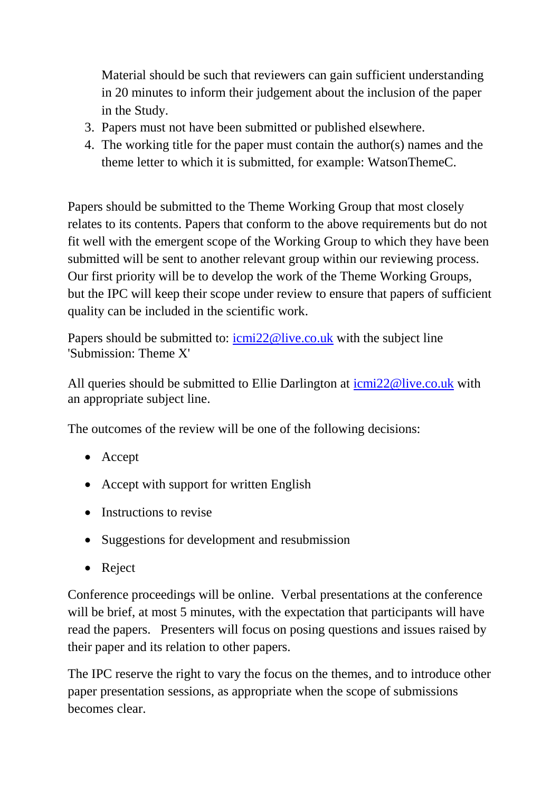Material should be such that reviewers can gain sufficient understanding in 20 minutes to inform their judgement about the inclusion of the paper in the Study.

- 3. Papers must not have been submitted or published elsewhere.
- 4. The working title for the paper must contain the author(s) names and the theme letter to which it is submitted, for example: WatsonThemeC.

Papers should be submitted to the Theme Working Group that most closely relates to its contents. Papers that conform to the above requirements but do not fit well with the emergent scope of the Working Group to which they have been submitted will be sent to another relevant group within our reviewing process. Our first priority will be to develop the work of the Theme Working Groups, but the IPC will keep their scope under review to ensure that papers of sufficient quality can be included in the scientific work.

Papers should be submitted to:  $i$ <u>cmi22@live.co.uk</u> with the subject line 'Submission: Theme X'

All queries should be submitted to Ellie Darlington at [icmi22@live.co.uk](mailto:icmi22@live.co.uk) with an appropriate subject line.

The outcomes of the review will be one of the following decisions:

- Accept
- Accept with support for written English
- Instructions to revise
- Suggestions for development and resubmission
- Reject

Conference proceedings will be online. Verbal presentations at the conference will be brief, at most 5 minutes, with the expectation that participants will have read the papers. Presenters will focus on posing questions and issues raised by their paper and its relation to other papers.

The IPC reserve the right to vary the focus on the themes, and to introduce other paper presentation sessions, as appropriate when the scope of submissions becomes clear.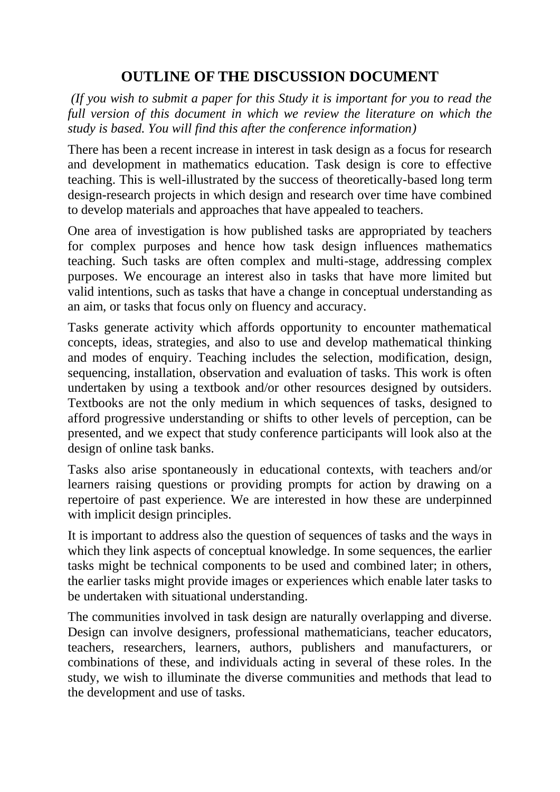## **OUTLINE OF THE DISCUSSION DOCUMENT**

*(If you wish to submit a paper for this Study it is important for you to read the full version of this document in which we review the literature on which the study is based. You will find this after the conference information)*

There has been a recent increase in interest in task design as a focus for research and development in mathematics education. Task design is core to effective teaching. This is well-illustrated by the success of theoretically-based long term design-research projects in which design and research over time have combined to develop materials and approaches that have appealed to teachers.

One area of investigation is how published tasks are appropriated by teachers for complex purposes and hence how task design influences mathematics teaching. Such tasks are often complex and multi-stage, addressing complex purposes. We encourage an interest also in tasks that have more limited but valid intentions, such as tasks that have a change in conceptual understanding as an aim, or tasks that focus only on fluency and accuracy.

Tasks generate activity which affords opportunity to encounter mathematical concepts, ideas, strategies, and also to use and develop mathematical thinking and modes of enquiry. Teaching includes the selection, modification, design, sequencing, installation, observation and evaluation of tasks. This work is often undertaken by using a textbook and/or other resources designed by outsiders. Textbooks are not the only medium in which sequences of tasks, designed to afford progressive understanding or shifts to other levels of perception, can be presented, and we expect that study conference participants will look also at the design of online task banks.

Tasks also arise spontaneously in educational contexts, with teachers and/or learners raising questions or providing prompts for action by drawing on a repertoire of past experience. We are interested in how these are underpinned with implicit design principles.

It is important to address also the question of sequences of tasks and the ways in which they link aspects of conceptual knowledge. In some sequences, the earlier tasks might be technical components to be used and combined later; in others, the earlier tasks might provide images or experiences which enable later tasks to be undertaken with situational understanding.

The communities involved in task design are naturally overlapping and diverse. Design can involve designers, professional mathematicians, teacher educators, teachers, researchers, learners, authors, publishers and manufacturers, or combinations of these, and individuals acting in several of these roles. In the study, we wish to illuminate the diverse communities and methods that lead to the development and use of tasks.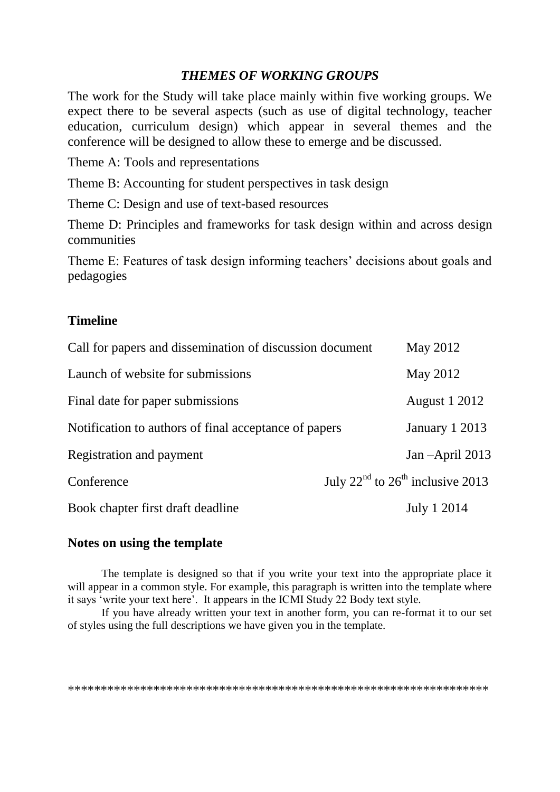#### *THEMES OF WORKING GROUPS*

The work for the Study will take place mainly within five working groups. We expect there to be several aspects (such as use of digital technology, teacher education, curriculum design) which appear in several themes and the conference will be designed to allow these to emerge and be discussed.

Theme A: Tools and representations

Theme B: Accounting for student perspectives in task design

Theme C: Design and use of text-based resources

Theme D: Principles and frameworks for task design within and across design communities

Theme E: Features of task design informing teachers' decisions about goals and pedagogies

#### **Timeline**

| Call for papers and dissemination of discussion document | May 2012                                                 |
|----------------------------------------------------------|----------------------------------------------------------|
| Launch of website for submissions                        | May 2012                                                 |
| Final date for paper submissions                         | <b>August 1 2012</b>                                     |
| Notification to authors of final acceptance of papers    | January 1 2013                                           |
| Registration and payment                                 | Jan $-April$ 2013                                        |
| Conference                                               | July 22 <sup>nd</sup> to 26 <sup>th</sup> inclusive 2013 |
| Book chapter first draft deadline                        | July 1 2014                                              |

#### **Notes on using the template**

The template is designed so that if you write your text into the appropriate place it will appear in a common style. For example, this paragraph is written into the template where it says 'write your text here'. It appears in the ICMI Study 22 Body text style.

If you have already written your text in another form, you can re-format it to our set of styles using the full descriptions we have given you in the template.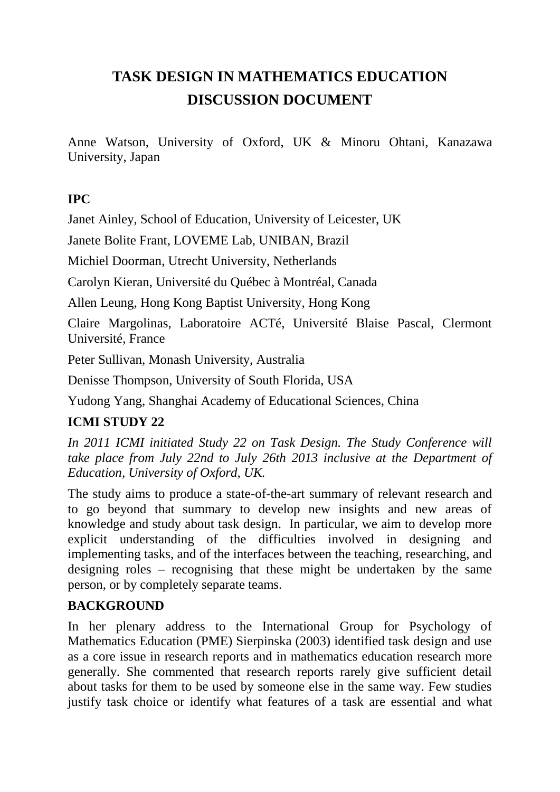## **TASK DESIGN IN MATHEMATICS EDUCATION DISCUSSION DOCUMENT**

Anne Watson, University of Oxford, UK & Minoru Ohtani, Kanazawa University, Japan

#### **IPC**

Janet Ainley, School of Education, University of Leicester, UK

Janete Bolite Frant, LOVEME Lab, UNIBAN, Brazil

Michiel Doorman, Utrecht University, Netherlands

Carolyn Kieran, Université du Québec à Montréal, Canada

Allen Leung, Hong Kong Baptist University, Hong Kong

Claire Margolinas, Laboratoire ACTé, Université Blaise Pascal, Clermont Université, France

Peter Sullivan, Monash University, Australia

Denisse Thompson, University of South Florida, USA

Yudong Yang, Shanghai Academy of Educational Sciences, China

## **ICMI STUDY 22**

*In 2011 ICMI initiated Study 22 on Task Design. The Study Conference will take place from July 22nd to July 26th 2013 inclusive at the Department of Education, University of Oxford, UK.*

The study aims to produce a state-of-the-art summary of relevant research and to go beyond that summary to develop new insights and new areas of knowledge and study about task design. In particular, we aim to develop more explicit understanding of the difficulties involved in designing and implementing tasks, and of the interfaces between the teaching, researching, and designing roles – recognising that these might be undertaken by the same person, or by completely separate teams.

## **BACKGROUND**

In her plenary address to the International Group for Psychology of Mathematics Education (PME) Sierpinska (2003) identified task design and use as a core issue in research reports and in mathematics education research more generally. She commented that research reports rarely give sufficient detail about tasks for them to be used by someone else in the same way. Few studies justify task choice or identify what features of a task are essential and what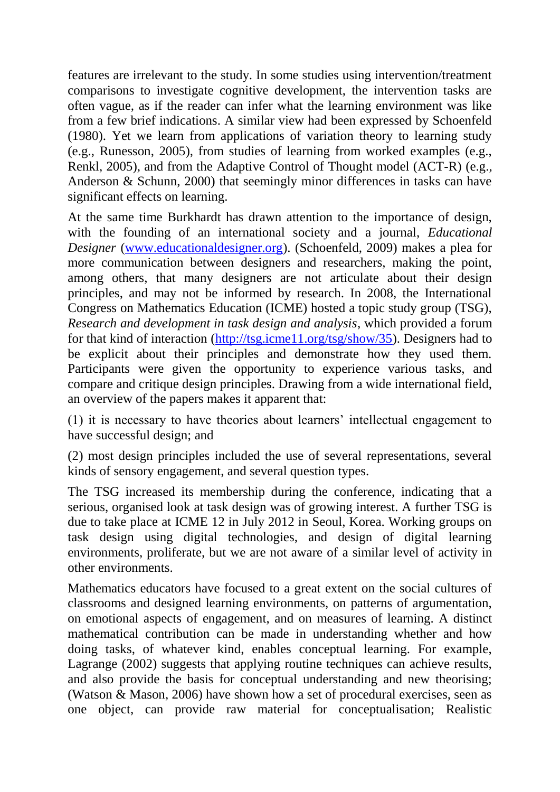features are irrelevant to the study. In some studies using intervention/treatment comparisons to investigate cognitive development, the intervention tasks are often vague, as if the reader can infer what the learning environment was like from a few brief indications. A similar view had been expressed by Schoenfeld (1980). Yet we learn from applications of variation theory to learning study (e.g., Runesson, 2005), from studies of learning from worked examples (e.g., Renkl, 2005), and from the Adaptive Control of Thought model (ACT-R) (e.g., Anderson & Schunn, 2000) that seemingly minor differences in tasks can have significant effects on learning.

At the same time Burkhardt has drawn attention to the importance of design, with the founding of an international society and a journal, *Educational Designer* [\(www.educationaldesigner.org\)](../AppData/Local/Microsoft/Windows/Temporary%20Internet%20Files/Documents%20and%20Settings/doorm101/Local%20Settings/Temporary%20Internet%20Files/AppData/Local/Microsoft/Windows/Temporary%20Internet%20Files/Low/Content.IE5/AppData/Local/Temp/www.educationaldesigner.org). (Schoenfeld, 2009) makes a plea for more communication between designers and researchers, making the point, among others, that many designers are not articulate about their design principles, and may not be informed by research. In 2008, the International Congress on Mathematics Education (ICME) hosted a topic study group (TSG), *Research and development in task design and analysis*, which provided a forum for that kind of interaction [\(http://tsg.icme11.org/tsg/show/35\)](http://tsg.icme11.org/tsg/show/35). Designers had to be explicit about their principles and demonstrate how they used them. Participants were given the opportunity to experience various tasks, and compare and critique design principles. Drawing from a wide international field, an overview of the papers makes it apparent that:

(1) it is necessary to have theories about learners' intellectual engagement to have successful design; and

(2) most design principles included the use of several representations, several kinds of sensory engagement, and several question types.

The TSG increased its membership during the conference, indicating that a serious, organised look at task design was of growing interest. A further TSG is due to take place at ICME 12 in July 2012 in Seoul, Korea. Working groups on task design using digital technologies, and design of digital learning environments, proliferate, but we are not aware of a similar level of activity in other environments.

Mathematics educators have focused to a great extent on the social cultures of classrooms and designed learning environments, on patterns of argumentation, on emotional aspects of engagement, and on measures of learning. A distinct mathematical contribution can be made in understanding whether and how doing tasks, of whatever kind, enables conceptual learning. For example, Lagrange (2002) suggests that applying routine techniques can achieve results, and also provide the basis for conceptual understanding and new theorising; (Watson & Mason, 2006) have shown how a set of procedural exercises, seen as one object, can provide raw material for conceptualisation; Realistic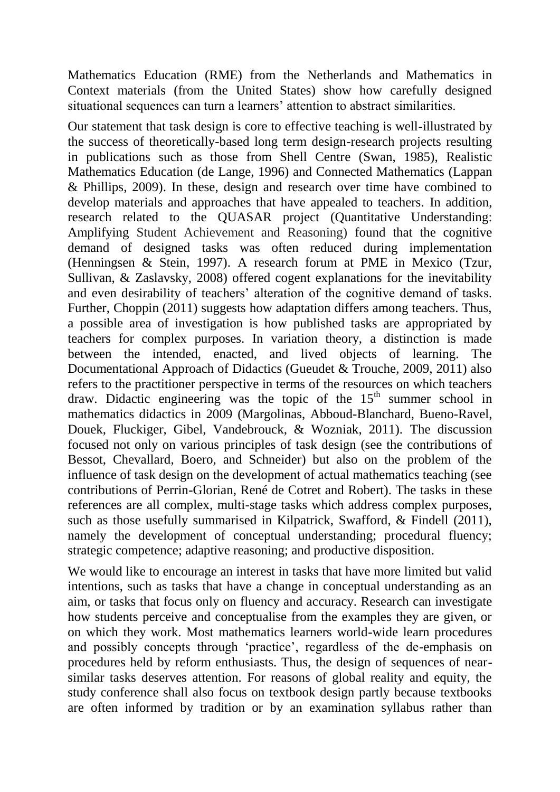Mathematics Education (RME) from the Netherlands and Mathematics in Context materials (from the United States) show how carefully designed situational sequences can turn a learners' attention to abstract similarities.

Our statement that task design is core to effective teaching is well-illustrated by the success of theoretically-based long term design-research projects resulting in publications such as those from Shell Centre (Swan, 1985), Realistic Mathematics Education (de Lange, 1996) and Connected Mathematics (Lappan & Phillips, 2009). In these, design and research over time have combined to develop materials and approaches that have appealed to teachers. In addition, research related to the QUASAR project (Quantitative Understanding: Amplifying Student Achievement and Reasoning) found that the cognitive demand of designed tasks was often reduced during implementation (Henningsen & Stein, 1997). A research forum at PME in Mexico (Tzur, Sullivan, & Zaslavsky, 2008) offered cogent explanations for the inevitability and even desirability of teachers' alteration of the cognitive demand of tasks. Further, Choppin (2011) suggests how adaptation differs among teachers. Thus, a possible area of investigation is how published tasks are appropriated by teachers for complex purposes. In variation theory, a distinction is made between the intended, enacted, and lived objects of learning. The Documentational Approach of Didactics (Gueudet & Trouche, 2009, 2011) also refers to the practitioner perspective in terms of the resources on which teachers draw. Didactic engineering was the topic of the  $15<sup>th</sup>$  summer school in mathematics didactics in 2009 (Margolinas, Abboud-Blanchard, Bueno-Ravel, Douek, Fluckiger, Gibel, Vandebrouck, & Wozniak, 2011). The discussion focused not only on various principles of task design (see the contributions of Bessot, Chevallard, Boero, and Schneider) but also on the problem of the influence of task design on the development of actual mathematics teaching (see contributions of Perrin-Glorian, René de Cotret and Robert). The tasks in these references are all complex, multi-stage tasks which address complex purposes, such as those usefully summarised in Kilpatrick, Swafford, & Findell (2011), namely the development of conceptual understanding; procedural fluency; strategic competence; adaptive reasoning; and productive disposition.

We would like to encourage an interest in tasks that have more limited but valid intentions, such as tasks that have a change in conceptual understanding as an aim, or tasks that focus only on fluency and accuracy. Research can investigate how students perceive and conceptualise from the examples they are given, or on which they work. Most mathematics learners world-wide learn procedures and possibly concepts through 'practice', regardless of the de-emphasis on procedures held by reform enthusiasts. Thus, the design of sequences of nearsimilar tasks deserves attention. For reasons of global reality and equity, the study conference shall also focus on textbook design partly because textbooks are often informed by tradition or by an examination syllabus rather than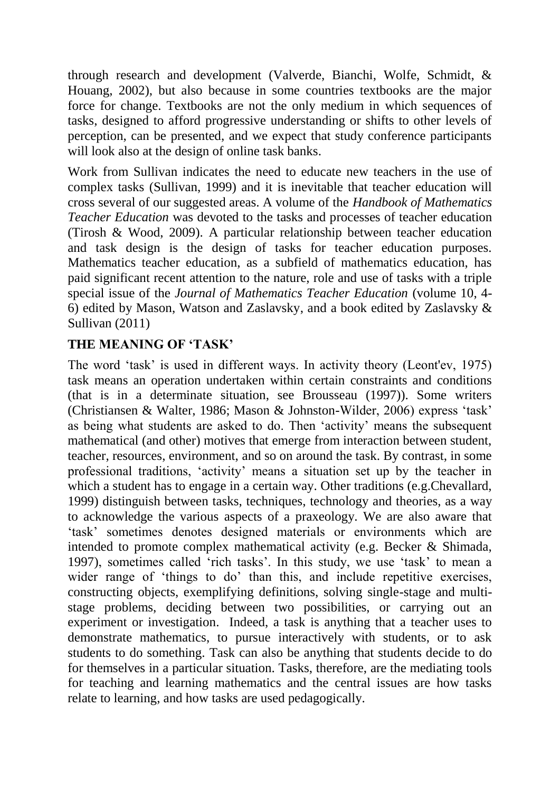through research and development (Valverde, Bianchi, Wolfe, Schmidt, & Houang, 2002), but also because in some countries textbooks are the major force for change. Textbooks are not the only medium in which sequences of tasks, designed to afford progressive understanding or shifts to other levels of perception, can be presented, and we expect that study conference participants will look also at the design of online task banks.

Work from Sullivan indicates the need to educate new teachers in the use of complex tasks (Sullivan, 1999) and it is inevitable that teacher education will cross several of our suggested areas. A volume of the *Handbook of Mathematics Teacher Education* was devoted to the tasks and processes of teacher education (Tirosh & Wood, 2009). A particular relationship between teacher education and task design is the design of tasks for teacher education purposes. Mathematics teacher education, as a subfield of mathematics education, has paid significant recent attention to the nature, role and use of tasks with a triple special issue of the *Journal of Mathematics Teacher Education* (volume 10, 4- 6) edited by Mason, Watson and Zaslavsky, and a book edited by Zaslavsky & Sullivan (2011)

## **THE MEANING OF 'TASK'**

The word 'task' is used in different ways. In activity theory (Leont'ev, 1975) task means an operation undertaken within certain constraints and conditions (that is in a determinate situation, see Brousseau (1997)). Some writers (Christiansen & Walter, 1986; Mason & Johnston-Wilder, 2006) express 'task' as being what students are asked to do. Then 'activity' means the subsequent mathematical (and other) motives that emerge from interaction between student, teacher, resources, environment, and so on around the task. By contrast, in some professional traditions, 'activity' means a situation set up by the teacher in which a student has to engage in a certain way. Other traditions (e.g. Chevallard, 1999) distinguish between tasks, techniques, technology and theories, as a way to acknowledge the various aspects of a praxeology. We are also aware that 'task' sometimes denotes designed materials or environments which are intended to promote complex mathematical activity (e.g. Becker & Shimada, 1997), sometimes called 'rich tasks'. In this study, we use 'task' to mean a wider range of 'things to do' than this, and include repetitive exercises, constructing objects, exemplifying definitions, solving single-stage and multistage problems, deciding between two possibilities, or carrying out an experiment or investigation. Indeed, a task is anything that a teacher uses to demonstrate mathematics, to pursue interactively with students, or to ask students to do something. Task can also be anything that students decide to do for themselves in a particular situation. Tasks, therefore, are the mediating tools for teaching and learning mathematics and the central issues are how tasks relate to learning, and how tasks are used pedagogically.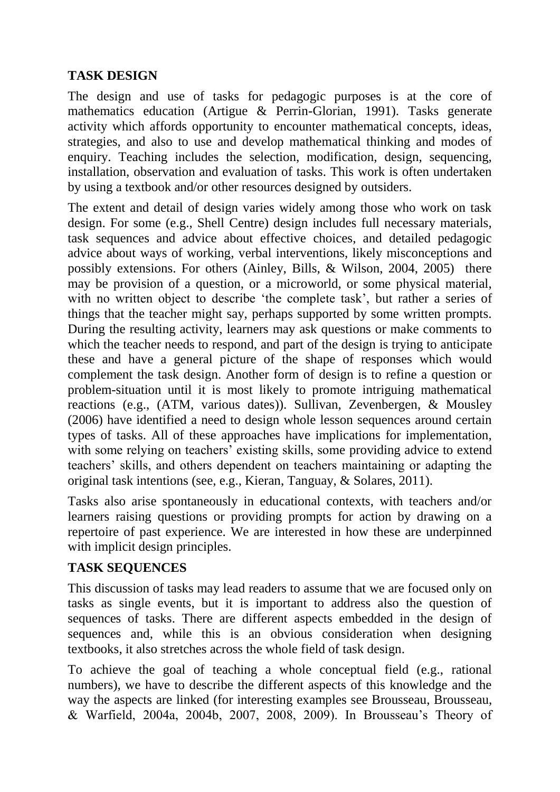#### **TASK DESIGN**

The design and use of tasks for pedagogic purposes is at the core of mathematics education (Artigue & Perrin-Glorian, 1991). Tasks generate activity which affords opportunity to encounter mathematical concepts, ideas, strategies, and also to use and develop mathematical thinking and modes of enquiry. Teaching includes the selection, modification, design, sequencing, installation, observation and evaluation of tasks. This work is often undertaken by using a textbook and/or other resources designed by outsiders.

The extent and detail of design varies widely among those who work on task design. For some (e.g., Shell Centre) design includes full necessary materials, task sequences and advice about effective choices, and detailed pedagogic advice about ways of working, verbal interventions, likely misconceptions and possibly extensions. For others (Ainley, Bills, & Wilson, 2004, 2005) there may be provision of a question, or a microworld, or some physical material, with no written object to describe 'the complete task', but rather a series of things that the teacher might say, perhaps supported by some written prompts. During the resulting activity, learners may ask questions or make comments to which the teacher needs to respond, and part of the design is trying to anticipate these and have a general picture of the shape of responses which would complement the task design. Another form of design is to refine a question or problem-situation until it is most likely to promote intriguing mathematical reactions (e.g., (ATM, various dates)). Sullivan, Zevenbergen, & Mousley (2006) have identified a need to design whole lesson sequences around certain types of tasks. All of these approaches have implications for implementation, with some relying on teachers' existing skills, some providing advice to extend teachers' skills, and others dependent on teachers maintaining or adapting the original task intentions (see, e.g., Kieran, Tanguay, & Solares, 2011).

Tasks also arise spontaneously in educational contexts, with teachers and/or learners raising questions or providing prompts for action by drawing on a repertoire of past experience. We are interested in how these are underpinned with implicit design principles.

#### **TASK SEQUENCES**

This discussion of tasks may lead readers to assume that we are focused only on tasks as single events, but it is important to address also the question of sequences of tasks. There are different aspects embedded in the design of sequences and, while this is an obvious consideration when designing textbooks, it also stretches across the whole field of task design.

To achieve the goal of teaching a whole conceptual field (e.g., rational numbers), we have to describe the different aspects of this knowledge and the way the aspects are linked (for interesting examples see Brousseau, Brousseau, & Warfield, 2004a, 2004b, 2007, 2008, 2009). In Brousseau's Theory of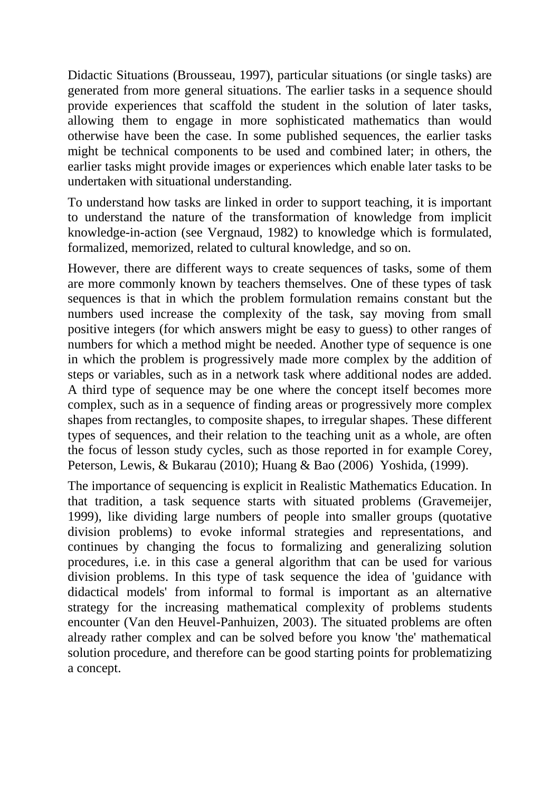Didactic Situations (Brousseau, 1997), particular situations (or single tasks) are generated from more general situations. The earlier tasks in a sequence should provide experiences that scaffold the student in the solution of later tasks, allowing them to engage in more sophisticated mathematics than would otherwise have been the case. In some published sequences, the earlier tasks might be technical components to be used and combined later; in others, the earlier tasks might provide images or experiences which enable later tasks to be undertaken with situational understanding.

To understand how tasks are linked in order to support teaching, it is important to understand the nature of the transformation of knowledge from implicit knowledge-in-action (see Vergnaud, 1982) to knowledge which is formulated, formalized, memorized, related to cultural knowledge, and so on.

However, there are different ways to create sequences of tasks, some of them are more commonly known by teachers themselves. One of these types of task sequences is that in which the problem formulation remains constant but the numbers used increase the complexity of the task, say moving from small positive integers (for which answers might be easy to guess) to other ranges of numbers for which a method might be needed. Another type of sequence is one in which the problem is progressively made more complex by the addition of steps or variables, such as in a network task where additional nodes are added. A third type of sequence may be one where the concept itself becomes more complex, such as in a sequence of finding areas or progressively more complex shapes from rectangles, to composite shapes, to irregular shapes. These different types of sequences, and their relation to the teaching unit as a whole, are often the focus of lesson study cycles, such as those reported in for example Corey, Peterson, Lewis, & Bukarau (2010); Huang & Bao (2006) Yoshida, (1999).

The importance of sequencing is explicit in Realistic Mathematics Education. In that tradition, a task sequence starts with situated problems (Gravemeijer, 1999), like dividing large numbers of people into smaller groups (quotative division problems) to evoke informal strategies and representations, and continues by changing the focus to formalizing and generalizing solution procedures, i.e. in this case a general algorithm that can be used for various division problems. In this type of task sequence the idea of 'guidance with didactical models' from informal to formal is important as an alternative strategy for the increasing mathematical complexity of problems students encounter (Van den Heuvel-Panhuizen, 2003). The situated problems are often already rather complex and can be solved before you know 'the' mathematical solution procedure, and therefore can be good starting points for problematizing a concept.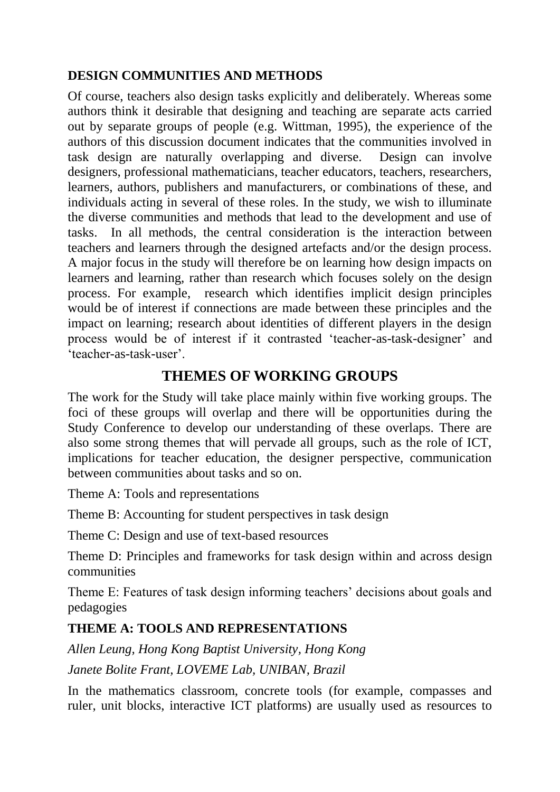#### **DESIGN COMMUNITIES AND METHODS**

Of course, teachers also design tasks explicitly and deliberately. Whereas some authors think it desirable that designing and teaching are separate acts carried out by separate groups of people (e.g. Wittman, 1995), the experience of the authors of this discussion document indicates that the communities involved in task design are naturally overlapping and diverse. Design can involve designers, professional mathematicians, teacher educators, teachers, researchers, learners, authors, publishers and manufacturers, or combinations of these, and individuals acting in several of these roles. In the study, we wish to illuminate the diverse communities and methods that lead to the development and use of tasks. In all methods, the central consideration is the interaction between teachers and learners through the designed artefacts and/or the design process. A major focus in the study will therefore be on learning how design impacts on learners and learning, rather than research which focuses solely on the design process. For example, research which identifies implicit design principles would be of interest if connections are made between these principles and the impact on learning; research about identities of different players in the design process would be of interest if it contrasted 'teacher-as-task-designer' and 'teacher-as-task-user'.

## **THEMES OF WORKING GROUPS**

The work for the Study will take place mainly within five working groups. The foci of these groups will overlap and there will be opportunities during the Study Conference to develop our understanding of these overlaps. There are also some strong themes that will pervade all groups, such as the role of ICT, implications for teacher education, the designer perspective, communication between communities about tasks and so on.

Theme A: Tools and representations

Theme B: Accounting for student perspectives in task design

Theme C: Design and use of text-based resources

Theme D: Principles and frameworks for task design within and across design communities

Theme E: Features of task design informing teachers' decisions about goals and pedagogies

## **THEME A: TOOLS AND REPRESENTATIONS**

*Allen Leung, Hong Kong Baptist University, Hong Kong*

*Janete Bolite Frant, LOVEME Lab, UNIBAN, Brazil*

In the mathematics classroom, concrete tools (for example, compasses and ruler, unit blocks, interactive ICT platforms) are usually used as resources to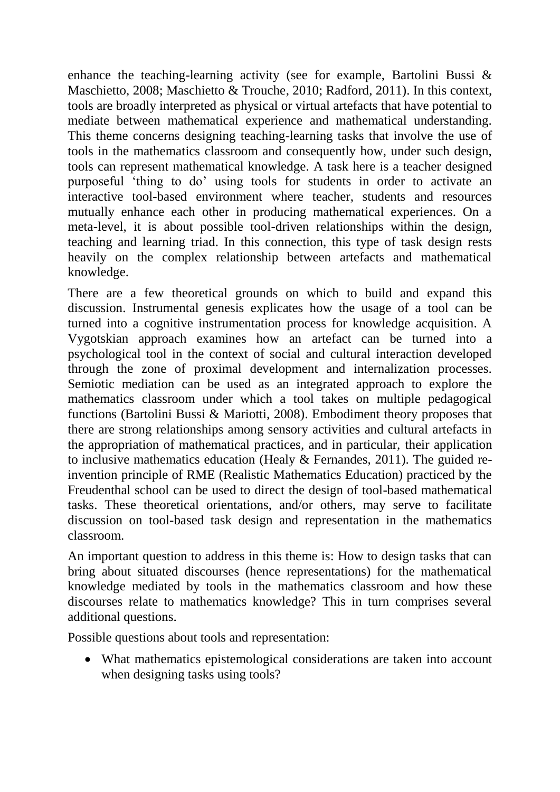enhance the teaching-learning activity (see for example, Bartolini Bussi & Maschietto, 2008; Maschietto & Trouche, 2010; Radford, 2011). In this context, tools are broadly interpreted as physical or virtual artefacts that have potential to mediate between mathematical experience and mathematical understanding. This theme concerns designing teaching-learning tasks that involve the use of tools in the mathematics classroom and consequently how, under such design, tools can represent mathematical knowledge. A task here is a teacher designed purposeful 'thing to do' using tools for students in order to activate an interactive tool-based environment where teacher, students and resources mutually enhance each other in producing mathematical experiences. On a meta-level, it is about possible tool-driven relationships within the design, teaching and learning triad. In this connection, this type of task design rests heavily on the complex relationship between artefacts and mathematical knowledge.

There are a few theoretical grounds on which to build and expand this discussion. Instrumental genesis explicates how the usage of a tool can be turned into a cognitive instrumentation process for knowledge acquisition. A Vygotskian approach examines how an artefact can be turned into a psychological tool in the context of social and cultural interaction developed through the zone of proximal development and internalization processes. Semiotic mediation can be used as an integrated approach to explore the mathematics classroom under which a tool takes on multiple pedagogical functions (Bartolini Bussi & Mariotti, 2008). Embodiment theory proposes that there are strong relationships among sensory activities and cultural artefacts in the appropriation of mathematical practices, and in particular, their application to inclusive mathematics education (Healy & Fernandes, 2011). The guided reinvention principle of RME (Realistic Mathematics Education) practiced by the Freudenthal school can be used to direct the design of tool-based mathematical tasks. These theoretical orientations, and/or others, may serve to facilitate discussion on tool-based task design and representation in the mathematics classroom.

An important question to address in this theme is: How to design tasks that can bring about situated discourses (hence representations) for the mathematical knowledge mediated by tools in the mathematics classroom and how these discourses relate to mathematics knowledge? This in turn comprises several additional questions.

Possible questions about tools and representation:

 What mathematics epistemological considerations are taken into account when designing tasks using tools?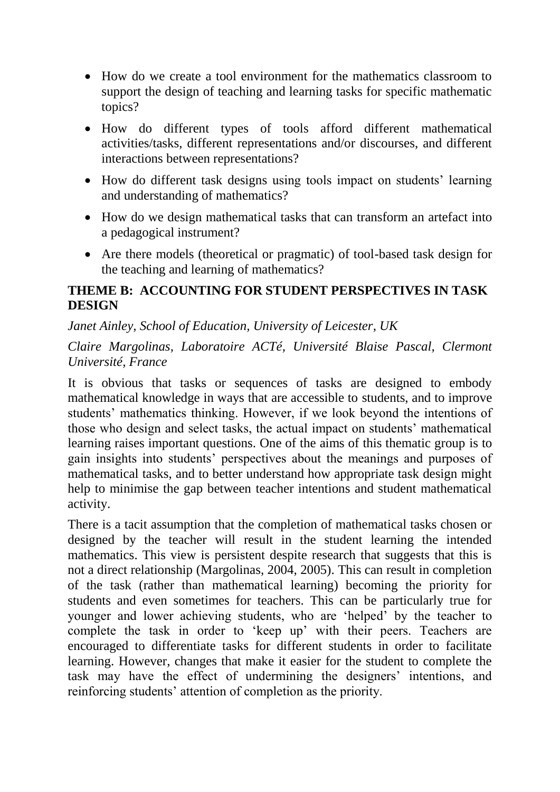- How do we create a tool environment for the mathematics classroom to support the design of teaching and learning tasks for specific mathematic topics?
- How do different types of tools afford different mathematical activities/tasks, different representations and/or discourses, and different interactions between representations?
- How do different task designs using tools impact on students' learning and understanding of mathematics?
- How do we design mathematical tasks that can transform an artefact into a pedagogical instrument?
- Are there models (theoretical or pragmatic) of tool-based task design for the teaching and learning of mathematics?

#### **THEME B: ACCOUNTING FOR STUDENT PERSPECTIVES IN TASK DESIGN**

#### *Janet Ainley, School of Education, University of Leicester, UK*

*Claire Margolinas, Laboratoire ACTé, Université Blaise Pascal, Clermont Université, France*

It is obvious that tasks or sequences of tasks are designed to embody mathematical knowledge in ways that are accessible to students, and to improve students' mathematics thinking. However, if we look beyond the intentions of those who design and select tasks, the actual impact on students' mathematical learning raises important questions. One of the aims of this thematic group is to gain insights into students' perspectives about the meanings and purposes of mathematical tasks, and to better understand how appropriate task design might help to minimise the gap between teacher intentions and student mathematical activity.

There is a tacit assumption that the completion of mathematical tasks chosen or designed by the teacher will result in the student learning the intended mathematics. This view is persistent despite research that suggests that this is not a direct relationship (Margolinas, 2004, 2005). This can result in completion of the task (rather than mathematical learning) becoming the priority for students and even sometimes for teachers. This can be particularly true for younger and lower achieving students, who are 'helped' by the teacher to complete the task in order to 'keep up' with their peers. Teachers are encouraged to differentiate tasks for different students in order to facilitate learning. However, changes that make it easier for the student to complete the task may have the effect of undermining the designers' intentions, and reinforcing students' attention of completion as the priority.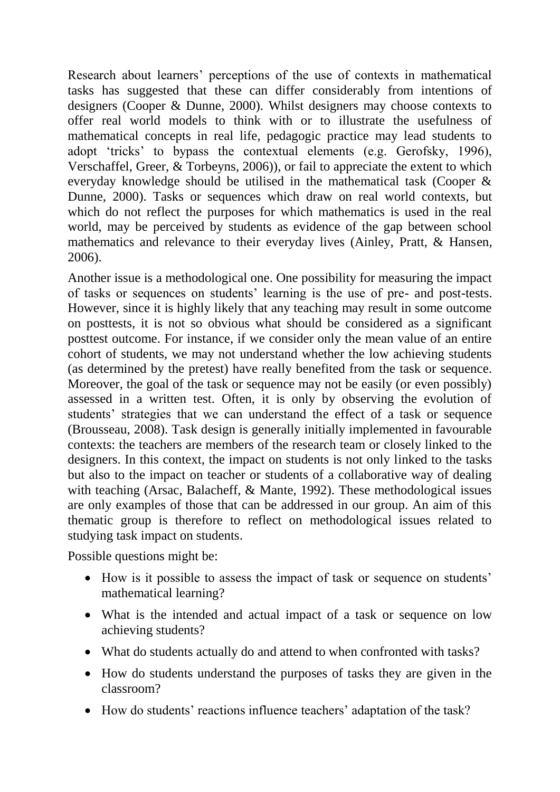Research about learners' perceptions of the use of contexts in mathematical tasks has suggested that these can differ considerably from intentions of designers (Cooper & Dunne, 2000). Whilst designers may choose contexts to offer real world models to think with or to illustrate the usefulness of mathematical concepts in real life, pedagogic practice may lead students to adopt 'tricks' to bypass the contextual elements (e.g. Gerofsky, 1996), Verschaffel, Greer, & Torbeyns, 2006)), or fail to appreciate the extent to which everyday knowledge should be utilised in the mathematical task (Cooper & Dunne, 2000). Tasks or sequences which draw on real world contexts, but which do not reflect the purposes for which mathematics is used in the real world, may be perceived by students as evidence of the gap between school mathematics and relevance to their everyday lives (Ainley, Pratt, & Hansen, 2006).

Another issue is a methodological one. One possibility for measuring the impact of tasks or sequences on students' learning is the use of pre- and post-tests. However, since it is highly likely that any teaching may result in some outcome on posttests, it is not so obvious what should be considered as a significant posttest outcome. For instance, if we consider only the mean value of an entire cohort of students, we may not understand whether the low achieving students (as determined by the pretest) have really benefited from the task or sequence. Moreover, the goal of the task or sequence may not be easily (or even possibly) assessed in a written test. Often, it is only by observing the evolution of students' strategies that we can understand the effect of a task or sequence (Brousseau, 2008). Task design is generally initially implemented in favourable contexts: the teachers are members of the research team or closely linked to the designers. In this context, the impact on students is not only linked to the tasks but also to the impact on teacher or students of a collaborative way of dealing with teaching (Arsac, Balacheff, & Mante, 1992). These methodological issues are only examples of those that can be addressed in our group. An aim of this thematic group is therefore to reflect on methodological issues related to studying task impact on students.

Possible questions might be:

- How is it possible to assess the impact of task or sequence on students' mathematical learning?
- What is the intended and actual impact of a task or sequence on low achieving students?
- What do students actually do and attend to when confronted with tasks?
- How do students understand the purposes of tasks they are given in the classroom?
- How do students' reactions influence teachers' adaptation of the task?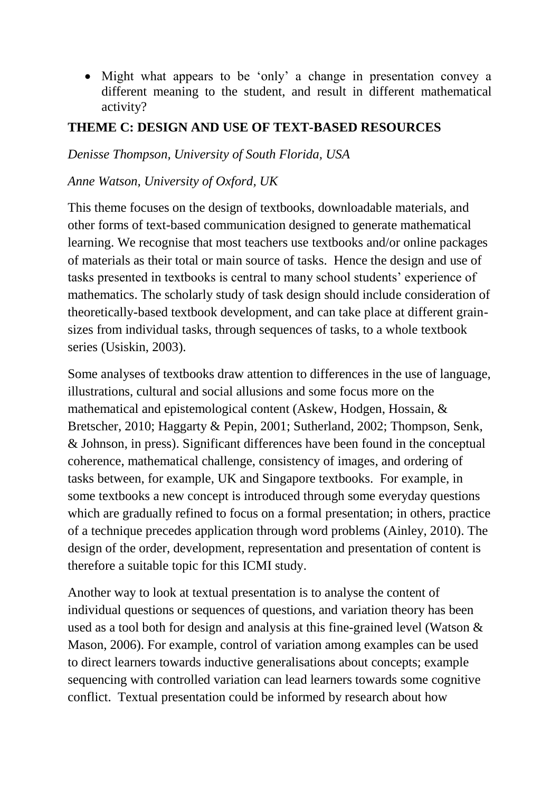Might what appears to be 'only' a change in presentation convey a different meaning to the student, and result in different mathematical activity?

#### **THEME C: DESIGN AND USE OF TEXT-BASED RESOURCES**

*Denisse Thompson, University of South Florida, USA*

#### *Anne Watson, University of Oxford, UK*

This theme focuses on the design of textbooks, downloadable materials, and other forms of text-based communication designed to generate mathematical learning. We recognise that most teachers use textbooks and/or online packages of materials as their total or main source of tasks. Hence the design and use of tasks presented in textbooks is central to many school students' experience of mathematics. The scholarly study of task design should include consideration of theoretically-based textbook development, and can take place at different grainsizes from individual tasks, through sequences of tasks, to a whole textbook series (Usiskin, 2003).

Some analyses of textbooks draw attention to differences in the use of language, illustrations, cultural and social allusions and some focus more on the mathematical and epistemological content (Askew, Hodgen, Hossain, & Bretscher, 2010; Haggarty & Pepin, 2001; Sutherland, 2002; Thompson, Senk, & Johnson, in press). Significant differences have been found in the conceptual coherence, mathematical challenge, consistency of images, and ordering of tasks between, for example, UK and Singapore textbooks. For example, in some textbooks a new concept is introduced through some everyday questions which are gradually refined to focus on a formal presentation; in others, practice of a technique precedes application through word problems (Ainley, 2010). The design of the order, development, representation and presentation of content is therefore a suitable topic for this ICMI study.

Another way to look at textual presentation is to analyse the content of individual questions or sequences of questions, and variation theory has been used as a tool both for design and analysis at this fine-grained level (Watson & Mason, 2006). For example, control of variation among examples can be used to direct learners towards inductive generalisations about concepts; example sequencing with controlled variation can lead learners towards some cognitive conflict. Textual presentation could be informed by research about how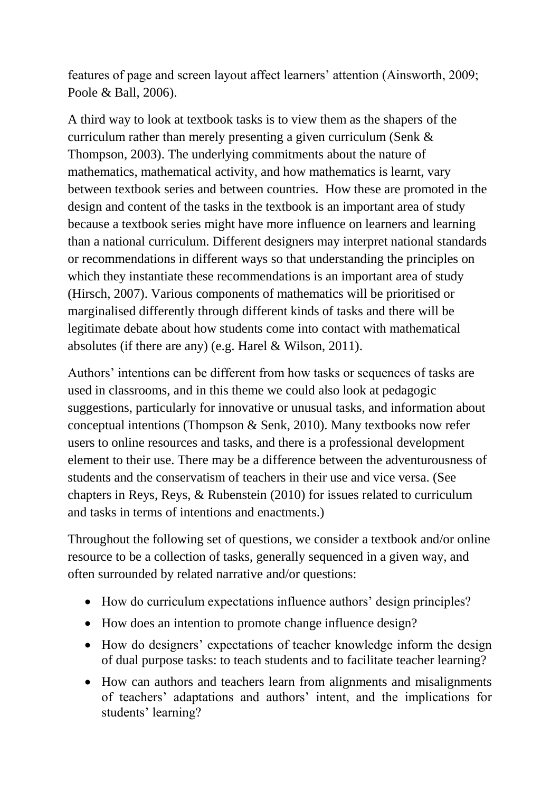features of page and screen layout affect learners' attention (Ainsworth, 2009; Poole & Ball, 2006).

A third way to look at textbook tasks is to view them as the shapers of the curriculum rather than merely presenting a given curriculum (Senk & Thompson, 2003). The underlying commitments about the nature of mathematics, mathematical activity, and how mathematics is learnt, vary between textbook series and between countries. How these are promoted in the design and content of the tasks in the textbook is an important area of study because a textbook series might have more influence on learners and learning than a national curriculum. Different designers may interpret national standards or recommendations in different ways so that understanding the principles on which they instantiate these recommendations is an important area of study (Hirsch, 2007). Various components of mathematics will be prioritised or marginalised differently through different kinds of tasks and there will be legitimate debate about how students come into contact with mathematical absolutes (if there are any) (e.g. Harel & Wilson, 2011).

Authors' intentions can be different from how tasks or sequences of tasks are used in classrooms, and in this theme we could also look at pedagogic suggestions, particularly for innovative or unusual tasks, and information about conceptual intentions (Thompson & Senk, 2010). Many textbooks now refer users to online resources and tasks, and there is a professional development element to their use. There may be a difference between the adventurousness of students and the conservatism of teachers in their use and vice versa. (See chapters in Reys, Reys, & Rubenstein (2010) for issues related to curriculum and tasks in terms of intentions and enactments.)

Throughout the following set of questions, we consider a textbook and/or online resource to be a collection of tasks, generally sequenced in a given way, and often surrounded by related narrative and/or questions:

- How do curriculum expectations influence authors' design principles?
- How does an intention to promote change influence design?
- How do designers' expectations of teacher knowledge inform the design of dual purpose tasks: to teach students and to facilitate teacher learning?
- How can authors and teachers learn from alignments and misalignments of teachers' adaptations and authors' intent, and the implications for students' learning?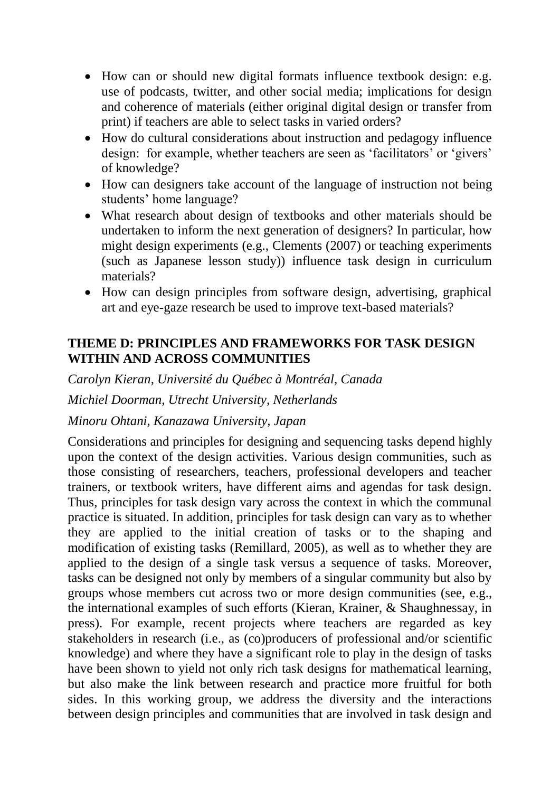- How can or should new digital formats influence textbook design: e.g. use of podcasts, twitter, and other social media; implications for design and coherence of materials (either original digital design or transfer from print) if teachers are able to select tasks in varied orders?
- How do cultural considerations about instruction and pedagogy influence design: for example, whether teachers are seen as 'facilitators' or 'givers' of knowledge?
- How can designers take account of the language of instruction not being students' home language?
- What research about design of textbooks and other materials should be undertaken to inform the next generation of designers? In particular, how might design experiments (e.g., Clements (2007) or teaching experiments (such as Japanese lesson study)) influence task design in curriculum materials?
- How can design principles from software design, advertising, graphical art and eye-gaze research be used to improve text-based materials?

#### **THEME D: PRINCIPLES AND FRAMEWORKS FOR TASK DESIGN WITHIN AND ACROSS COMMUNITIES**

*Carolyn Kieran, Université du Québec à Montréal, Canada Michiel Doorman, Utrecht University, Netherlands*

#### *Minoru Ohtani, Kanazawa University, Japan*

Considerations and principles for designing and sequencing tasks depend highly upon the context of the design activities. Various design communities, such as those consisting of researchers, teachers, professional developers and teacher trainers, or textbook writers, have different aims and agendas for task design. Thus, principles for task design vary across the context in which the communal practice is situated. In addition, principles for task design can vary as to whether they are applied to the initial creation of tasks or to the shaping and modification of existing tasks (Remillard, 2005), as well as to whether they are applied to the design of a single task versus a sequence of tasks. Moreover, tasks can be designed not only by members of a singular community but also by groups whose members cut across two or more design communities (see, e.g., the international examples of such efforts (Kieran, Krainer, & Shaughnessay, in press). For example, recent projects where teachers are regarded as key stakeholders in research (i.e., as (co)producers of professional and/or scientific knowledge) and where they have a significant role to play in the design of tasks have been shown to yield not only rich task designs for mathematical learning, but also make the link between research and practice more fruitful for both sides. In this working group, we address the diversity and the interactions between design principles and communities that are involved in task design and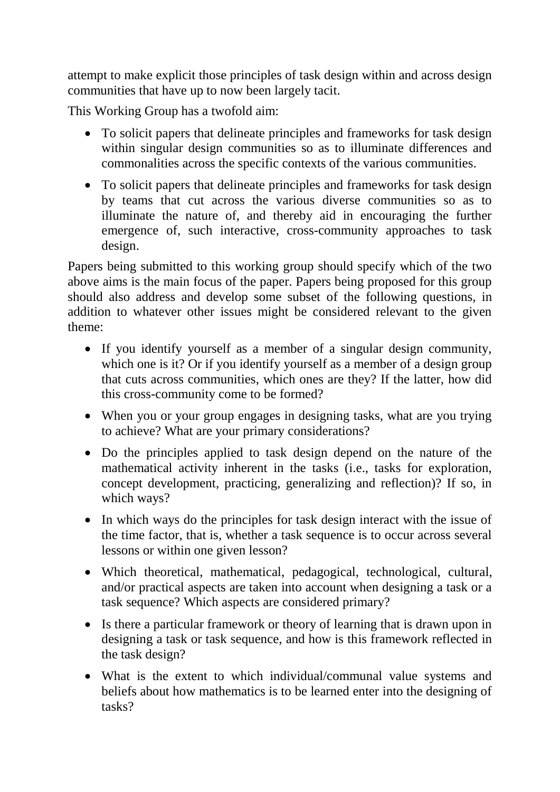attempt to make explicit those principles of task design within and across design communities that have up to now been largely tacit.

This Working Group has a twofold aim:

- To solicit papers that delineate principles and frameworks for task design within singular design communities so as to illuminate differences and commonalities across the specific contexts of the various communities.
- To solicit papers that delineate principles and frameworks for task design by teams that cut across the various diverse communities so as to illuminate the nature of, and thereby aid in encouraging the further emergence of, such interactive, cross-community approaches to task design.

Papers being submitted to this working group should specify which of the two above aims is the main focus of the paper. Papers being proposed for this group should also address and develop some subset of the following questions, in addition to whatever other issues might be considered relevant to the given theme:

- If you identify yourself as a member of a singular design community, which one is it? Or if you identify yourself as a member of a design group that cuts across communities, which ones are they? If the latter, how did this cross-community come to be formed?
- When you or your group engages in designing tasks, what are you trying to achieve? What are your primary considerations?
- Do the principles applied to task design depend on the nature of the mathematical activity inherent in the tasks (i.e., tasks for exploration, concept development, practicing, generalizing and reflection)? If so, in which ways?
- In which ways do the principles for task design interact with the issue of the time factor, that is, whether a task sequence is to occur across several lessons or within one given lesson?
- Which theoretical, mathematical, pedagogical, technological, cultural, and/or practical aspects are taken into account when designing a task or a task sequence? Which aspects are considered primary?
- Is there a particular framework or theory of learning that is drawn upon in designing a task or task sequence, and how is this framework reflected in the task design?
- What is the extent to which individual/communal value systems and beliefs about how mathematics is to be learned enter into the designing of tasks?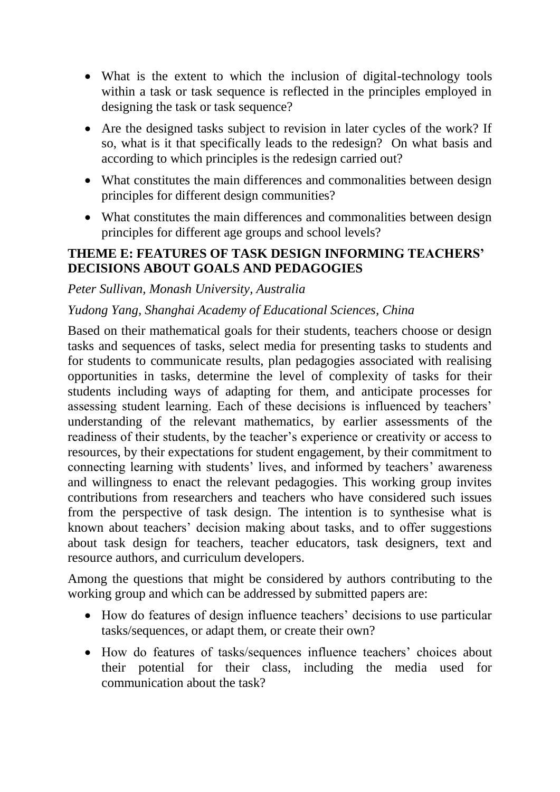- What is the extent to which the inclusion of digital-technology tools within a task or task sequence is reflected in the principles employed in designing the task or task sequence?
- Are the designed tasks subject to revision in later cycles of the work? If so, what is it that specifically leads to the redesign? On what basis and according to which principles is the redesign carried out?
- What constitutes the main differences and commonalities between design principles for different design communities?
- What constitutes the main differences and commonalities between design principles for different age groups and school levels?

#### **THEME E: FEATURES OF TASK DESIGN INFORMING TEACHERS' DECISIONS ABOUT GOALS AND PEDAGOGIES**

#### *Peter Sullivan, Monash University, Australia*

#### *Yudong Yang, Shanghai Academy of Educational Sciences, China*

Based on their mathematical goals for their students, teachers choose or design tasks and sequences of tasks, select media for presenting tasks to students and for students to communicate results, plan pedagogies associated with realising opportunities in tasks, determine the level of complexity of tasks for their students including ways of adapting for them, and anticipate processes for assessing student learning. Each of these decisions is influenced by teachers' understanding of the relevant mathematics, by earlier assessments of the readiness of their students, by the teacher's experience or creativity or access to resources, by their expectations for student engagement, by their commitment to connecting learning with students' lives, and informed by teachers' awareness and willingness to enact the relevant pedagogies. This working group invites contributions from researchers and teachers who have considered such issues from the perspective of task design. The intention is to synthesise what is known about teachers' decision making about tasks, and to offer suggestions about task design for teachers, teacher educators, task designers, text and resource authors, and curriculum developers.

Among the questions that might be considered by authors contributing to the working group and which can be addressed by submitted papers are:

- How do features of design influence teachers' decisions to use particular tasks/sequences, or adapt them, or create their own?
- How do features of tasks/sequences influence teachers' choices about their potential for their class, including the media used for communication about the task?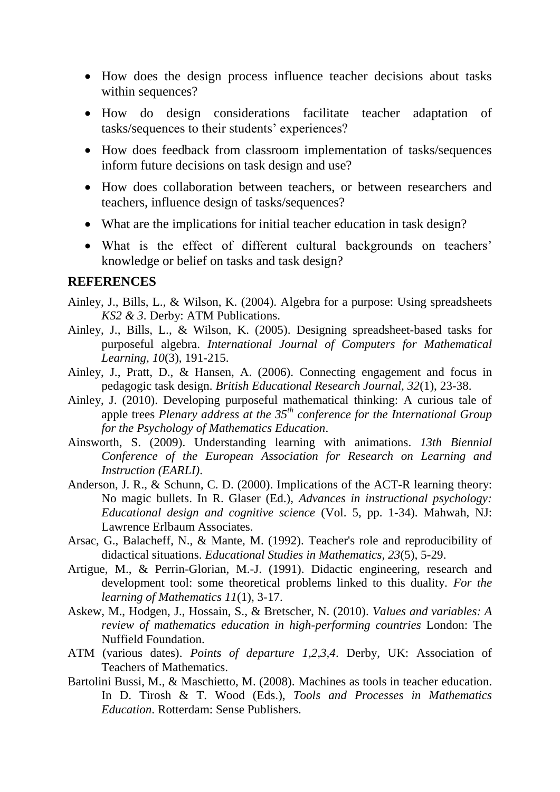- How does the design process influence teacher decisions about tasks within sequences?
- How do design considerations facilitate teacher adaptation of tasks/sequences to their students' experiences?
- How does feedback from classroom implementation of tasks/sequences inform future decisions on task design and use?
- How does collaboration between teachers, or between researchers and teachers, influence design of tasks/sequences?
- What are the implications for initial teacher education in task design?
- What is the effect of different cultural backgrounds on teachers' knowledge or belief on tasks and task design?

#### **REFERENCES**

- Ainley, J., Bills, L., & Wilson, K. (2004). Algebra for a purpose: Using spreadsheets *KS2 & 3*. Derby: ATM Publications.
- Ainley, J., Bills, L., & Wilson, K. (2005). Designing spreadsheet-based tasks for purposeful algebra. *International Journal of Computers for Mathematical Learning, 10*(3), 191-215.
- Ainley, J., Pratt, D., & Hansen, A. (2006). Connecting engagement and focus in pedagogic task design. *British Educational Research Journal, 32*(1), 23-38.
- Ainley, J. (2010). Developing purposeful mathematical thinking: A curious tale of apple trees *Plenary address at the 35th conference for the International Group for the Psychology of Mathematics Education*.
- Ainsworth, S. (2009). Understanding learning with animations. *13th Biennial Conference of the European Association for Research on Learning and Instruction (EARLI)*.
- Anderson, J. R., & Schunn, C. D. (2000). Implications of the ACT-R learning theory: No magic bullets. In R. Glaser (Ed.), *Advances in instructional psychology: Educational design and cognitive science* (Vol. 5, pp. 1-34). Mahwah, NJ: Lawrence Erlbaum Associates.
- Arsac, G., Balacheff, N., & Mante, M. (1992). Teacher's role and reproducibility of didactical situations. *Educational Studies in Mathematics, 23*(5), 5-29.
- Artigue, M., & Perrin-Glorian, M.-J. (1991). Didactic engineering, research and development tool: some theoretical problems linked to this duality. *For the learning of Mathematics 11*(1), 3-17.
- Askew, M., Hodgen, J., Hossain, S., & Bretscher, N. (2010). *Values and variables: A review of mathematics education in high-performing countries* London: The Nuffield Foundation.
- ATM (various dates). *Points of departure 1,2,3,4*. Derby, UK: Association of Teachers of Mathematics.
- Bartolini Bussi, M., & Maschietto, M. (2008). Machines as tools in teacher education. In D. Tirosh & T. Wood (Eds.), *Tools and Processes in Mathematics Education*. Rotterdam: Sense Publishers.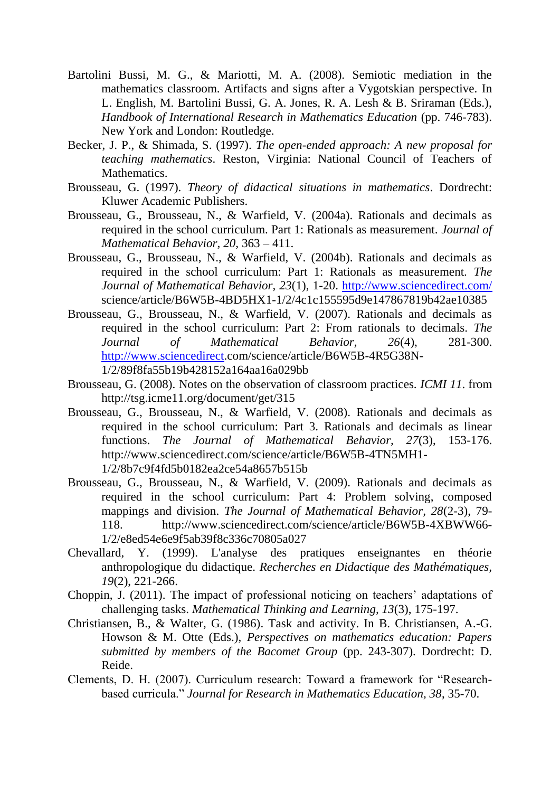- Bartolini Bussi, M. G., & Mariotti, M. A. (2008). Semiotic mediation in the mathematics classroom. Artifacts and signs after a Vygotskian perspective. In L. English, M. Bartolini Bussi, G. A. Jones, R. A. Lesh & B. Sriraman (Eds.), *Handbook of International Research in Mathematics Education* (pp. 746-783). New York and London: Routledge.
- Becker, J. P., & Shimada, S. (1997). *The open-ended approach: A new proposal for teaching mathematics*. Reston, Virginia: National Council of Teachers of Mathematics.
- Brousseau, G. (1997). *Theory of didactical situations in mathematics*. Dordrecht: Kluwer Academic Publishers.
- Brousseau, G., Brousseau, N., & Warfield, V. (2004a). Rationals and decimals as required in the school curriculum. Part 1: Rationals as measurement. *Journal of Mathematical Behavior, 20*, 363 – 411.
- Brousseau, G., Brousseau, N., & Warfield, V. (2004b). Rationals and decimals as required in the school curriculum: Part 1: Rationals as measurement. *The Journal of Mathematical Behavior, 23*(1), 1-20.<http://www.sciencedirect.com/> science/article/B6W5B-4BD5HX1-1/2/4c1c155595d9e147867819b42ae10385
- Brousseau, G., Brousseau, N., & Warfield, V. (2007). Rationals and decimals as required in the school curriculum: Part 2: From rationals to decimals. *The Journal of Mathematical Behavior, 26*(4), 281-300. [http://www.sciencedirect.](http://www.sciencedirect/)com/science/article/B6W5B-4R5G38N-1/2/89f8fa55b19b428152a164aa16a029bb
- Brousseau, G. (2008). Notes on the observation of classroom practices. *ICMI 11*. from http://tsg.icme11.org/document/get/315
- Brousseau, G., Brousseau, N., & Warfield, V. (2008). Rationals and decimals as required in the school curriculum: Part 3. Rationals and decimals as linear functions. *The Journal of Mathematical Behavior, 27*(3), 153-176. http://www.sciencedirect.com/science/article/B6W5B-4TN5MH1- 1/2/8b7c9f4fd5b0182ea2ce54a8657b515b
- Brousseau, G., Brousseau, N., & Warfield, V. (2009). Rationals and decimals as required in the school curriculum: Part 4: Problem solving, composed mappings and division. *The Journal of Mathematical Behavior, 28*(2-3), 79- 118. http://www.sciencedirect.com/science/article/B6W5B-4XBWW66- 1/2/e8ed54e6e9f5ab39f8c336c70805a027
- Chevallard, Y. (1999). L'analyse des pratiques enseignantes en théorie anthropologique du didactique. *Recherches en Didactique des Mathématiques, 19*(2), 221-266.
- Choppin, J. (2011). The impact of professional noticing on teachers' adaptations of challenging tasks. *Mathematical Thinking and Learning, 13*(3), 175-197.
- Christiansen, B., & Walter, G. (1986). Task and activity. In B. Christiansen, A.-G. Howson & M. Otte (Eds.), *Perspectives on mathematics education: Papers submitted by members of the Bacomet Group* (pp. 243-307). Dordrecht: D. Reide.
- Clements, D. H. (2007). Curriculum research: Toward a framework for "Researchbased curricula." *Journal for Research in Mathematics Education, 38*, 35-70.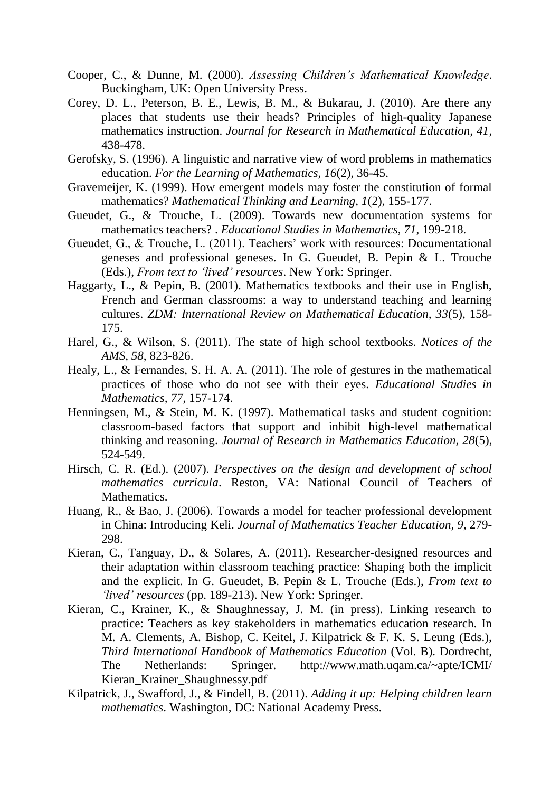- Cooper, C., & Dunne, M. (2000). *Assessing Children's Mathematical Knowledge*. Buckingham, UK: Open University Press.
- Corey, D. L., Peterson, B. E., Lewis, B. M., & Bukarau, J. (2010). Are there any places that students use their heads? Principles of high-quality Japanese mathematics instruction. *Journal for Research in Mathematical Education, 41*, 438-478.
- Gerofsky, S. (1996). A linguistic and narrative view of word problems in mathematics education. *For the Learning of Mathematics, 16*(2), 36-45.
- Gravemeijer, K. (1999). How emergent models may foster the constitution of formal mathematics? *Mathematical Thinking and Learning, 1*(2), 155-177.
- Gueudet, G., & Trouche, L. (2009). Towards new documentation systems for mathematics teachers? . *Educational Studies in Mathematics, 71*, 199-218.
- Gueudet, G., & Trouche, L. (2011). Teachers' work with resources: Documentational geneses and professional geneses. In G. Gueudet, B. Pepin & L. Trouche (Eds.), *From text to 'lived' resources*. New York: Springer.
- Haggarty, L., & Pepin, B. (2001). Mathematics textbooks and their use in English, French and German classrooms: a way to understand teaching and learning cultures. *ZDM: International Review on Mathematical Education, 33*(5), 158- 175.
- Harel, G., & Wilson, S. (2011). The state of high school textbooks. *Notices of the AMS, 58*, 823-826.
- Healy, L., & Fernandes, S. H. A. A. (2011). The role of gestures in the mathematical practices of those who do not see with their eyes. *Educational Studies in Mathematics, 77*, 157-174.
- Henningsen, M., & Stein, M. K. (1997). Mathematical tasks and student cognition: classroom-based factors that support and inhibit high-level mathematical thinking and reasoning. *Journal of Research in Mathematics Education, 28*(5), 524-549.
- Hirsch, C. R. (Ed.). (2007). *Perspectives on the design and development of school mathematics curricula*. Reston, VA: National Council of Teachers of Mathematics.
- Huang, R., & Bao, J. (2006). Towards a model for teacher professional development in China: Introducing Keli. *Journal of Mathematics Teacher Education, 9*, 279- 298.
- Kieran, C., Tanguay, D., & Solares, A. (2011). Researcher-designed resources and their adaptation within classroom teaching practice: Shaping both the implicit and the explicit. In G. Gueudet, B. Pepin & L. Trouche (Eds.), *From text to 'lived' resources* (pp. 189-213). New York: Springer.
- Kieran, C., Krainer, K., & Shaughnessay, J. M. (in press). Linking research to practice: Teachers as key stakeholders in mathematics education research. In M. A. Clements, A. Bishop, C. Keitel, J. Kilpatrick & F. K. S. Leung (Eds.), *Third International Handbook of Mathematics Education* (Vol. B). Dordrecht, The Netherlands: Springer. http://www.math.uqam.ca/~apte/ICMI/ Kieran Krainer Shaughnessy.pdf
- Kilpatrick, J., Swafford, J., & Findell, B. (2011). *Adding it up: Helping children learn mathematics*. Washington, DC: National Academy Press.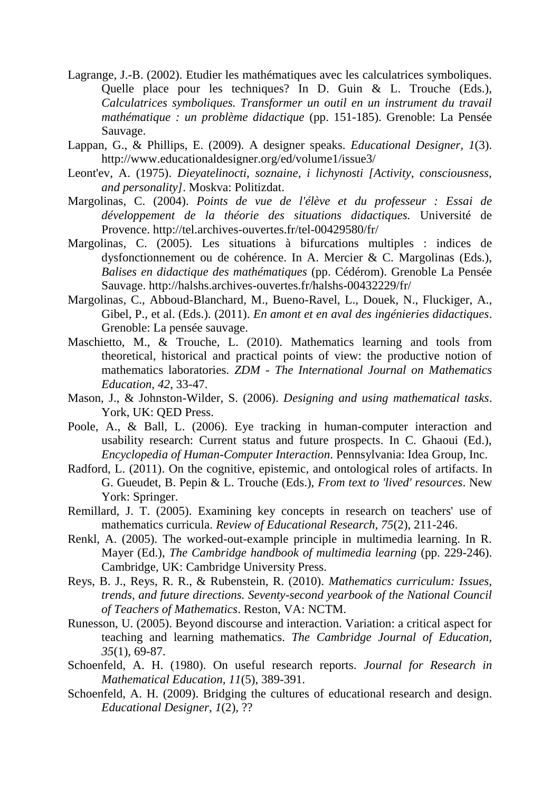- Lagrange, J.-B. (2002). Etudier les mathématiques avec les calculatrices symboliques. Quelle place pour les techniques? In D. Guin & L. Trouche (Eds.), *Calculatrices symboliques. Transformer un outil en un instrument du travail mathématique : un problème didactique* (pp. 151-185). Grenoble: La Pensée Sauvage.
- Lappan, G., & Phillips, E. (2009). A designer speaks. *Educational Designer, 1*(3). http://www.educationaldesigner.org/ed/volume1/issue3/
- Leont'ev, A. (1975). *Dieyatelinocti, soznaine, i lichynosti [Activity, consciousness, and personality]*. Moskva: Politizdat.
- Margolinas, C. (2004). *Points de vue de l'élève et du professeur : Essai de développement de la théorie des situations didactiques.* Université de Provence. http://tel.archives-ouvertes.fr/tel-00429580/fr/
- Margolinas, C. (2005). Les situations à bifurcations multiples : indices de dysfonctionnement ou de cohérence. In A. Mercier & C. Margolinas (Eds.), *Balises en didactique des mathématiques* (pp. Cédérom). Grenoble La Pensée Sauvage. http://halshs.archives-ouvertes.fr/halshs-00432229/fr/
- Margolinas, C., Abboud-Blanchard, M., Bueno-Ravel, L., Douek, N., Fluckiger, A., Gibel, P., et al. (Eds.). (2011). *En amont et en aval des ingénieries didactiques*. Grenoble: La pensée sauvage.
- Maschietto, M., & Trouche, L. (2010). Mathematics learning and tools from theoretical, historical and practical points of view: the productive notion of mathematics laboratories. *ZDM - The International Journal on Mathematics Education, 42*, 33-47.
- Mason, J., & Johnston-Wilder, S. (2006). *Designing and using mathematical tasks*. York, UK: QED Press.
- Poole, A., & Ball, L. (2006). Eye tracking in human-computer interaction and usability research: Current status and future prospects. In C. Ghaoui (Ed.), *Encyclopedia of Human-Computer Interaction*. Pennsylvania: Idea Group, Inc.
- Radford, L. (2011). On the cognitive, epistemic, and ontological roles of artifacts. In G. Gueudet, B. Pepin & L. Trouche (Eds.), *From text to 'lived' resources*. New York: Springer.
- Remillard, J. T. (2005). Examining key concepts in research on teachers' use of mathematics curricula. *Review of Educational Research, 75*(2), 211-246.
- Renkl, A. (2005). The worked-out-example principle in multimedia learning. In R. Mayer (Ed.), *The Cambridge handbook of multimedia learning* (pp. 229-246). Cambridge, UK: Cambridge University Press.
- Reys, B. J., Reys, R. R., & Rubenstein, R. (2010). *Mathematics curriculum: Issues, trends, and future directions. Seventy-second yearbook of the National Council of Teachers of Mathematics*. Reston, VA: NCTM.
- Runesson, U. (2005). Beyond discourse and interaction. Variation: a critical aspect for teaching and learning mathematics. *The Cambridge Journal of Education, 35*(1), 69-87.
- Schoenfeld, A. H. (1980). On useful research reports. *Journal for Research in Mathematical Education, 11*(5), 389-391.
- Schoenfeld, A. H. (2009). Bridging the cultures of educational research and design. *Educational Designer, 1*(2), ??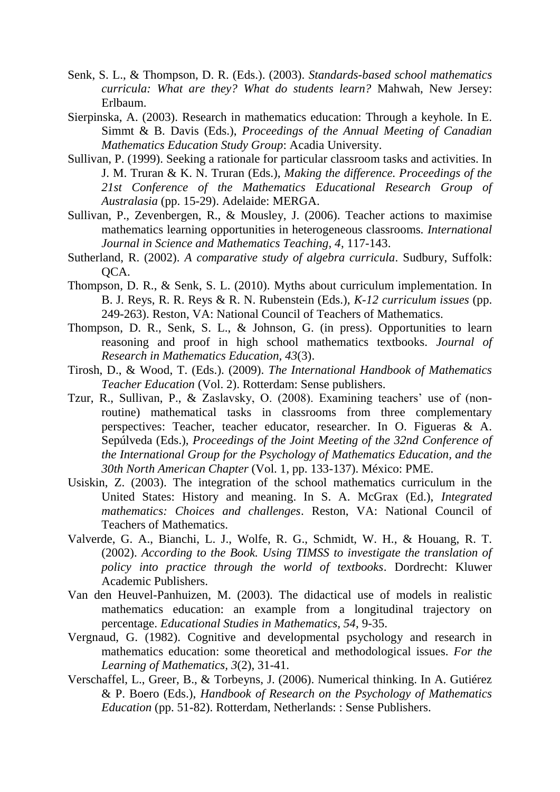- Senk, S. L., & Thompson, D. R. (Eds.). (2003). *Standards-based school mathematics curricula: What are they? What do students learn?* Mahwah, New Jersey: Erlbaum.
- Sierpinska, A. (2003). Research in mathematics education: Through a keyhole. In E. Simmt & B. Davis (Eds.), *Proceedings of the Annual Meeting of Canadian Mathematics Education Study Group*: Acadia University.
- Sullivan, P. (1999). Seeking a rationale for particular classroom tasks and activities. In J. M. Truran & K. N. Truran (Eds.), *Making the difference. Proceedings of the 21st Conference of the Mathematics Educational Research Group of Australasia* (pp. 15-29). Adelaide: MERGA.
- Sullivan, P., Zevenbergen, R., & Mousley, J. (2006). Teacher actions to maximise mathematics learning opportunities in heterogeneous classrooms. *International Journal in Science and Mathematics Teaching, 4*, 117-143.
- Sutherland, R. (2002). *A comparative study of algebra curricula*. Sudbury, Suffolk: QCA.
- Thompson, D. R., & Senk, S. L. (2010). Myths about curriculum implementation. In B. J. Reys, R. R. Reys & R. N. Rubenstein (Eds.), *K-12 curriculum issues* (pp. 249-263). Reston, VA: National Council of Teachers of Mathematics.
- Thompson, D. R., Senk, S. L., & Johnson, G. (in press). Opportunities to learn reasoning and proof in high school mathematics textbooks. *Journal of Research in Mathematics Education, 43*(3).
- Tirosh, D., & Wood, T. (Eds.). (2009). *The International Handbook of Mathematics Teacher Education* (Vol. 2). Rotterdam: Sense publishers.
- Tzur, R., Sullivan, P., & Zaslavsky, O. (2008). Examining teachers' use of (nonroutine) mathematical tasks in classrooms from three complementary perspectives: Teacher, teacher educator, researcher. In O. Figueras & A. Sepúlveda (Eds.), *Proceedings of the Joint Meeting of the 32nd Conference of the International Group for the Psychology of Mathematics Education, and the 30th North American Chapter* (Vol. 1, pp. 133-137). México: PME.
- Usiskin, Z. (2003). The integration of the school mathematics curriculum in the United States: History and meaning. In S. A. McGrax (Ed.), *Integrated mathematics: Choices and challenges*. Reston, VA: National Council of Teachers of Mathematics.
- Valverde, G. A., Bianchi, L. J., Wolfe, R. G., Schmidt, W. H., & Houang, R. T. (2002). *According to the Book. Using TIMSS to investigate the translation of policy into practice through the world of textbooks*. Dordrecht: Kluwer Academic Publishers.
- Van den Heuvel-Panhuizen, M. (2003). The didactical use of models in realistic mathematics education: an example from a longitudinal trajectory on percentage. *Educational Studies in Mathematics, 54*, 9-35.
- Vergnaud, G. (1982). Cognitive and developmental psychology and research in mathematics education: some theoretical and methodological issues. *For the Learning of Mathematics, 3*(2), 31-41.
- Verschaffel, L., Greer, B., & Torbeyns, J. (2006). Numerical thinking. In A. Gutiérez & P. Boero (Eds.), *Handbook of Research on the Psychology of Mathematics Education* (pp. 51-82). Rotterdam, Netherlands: : Sense Publishers.